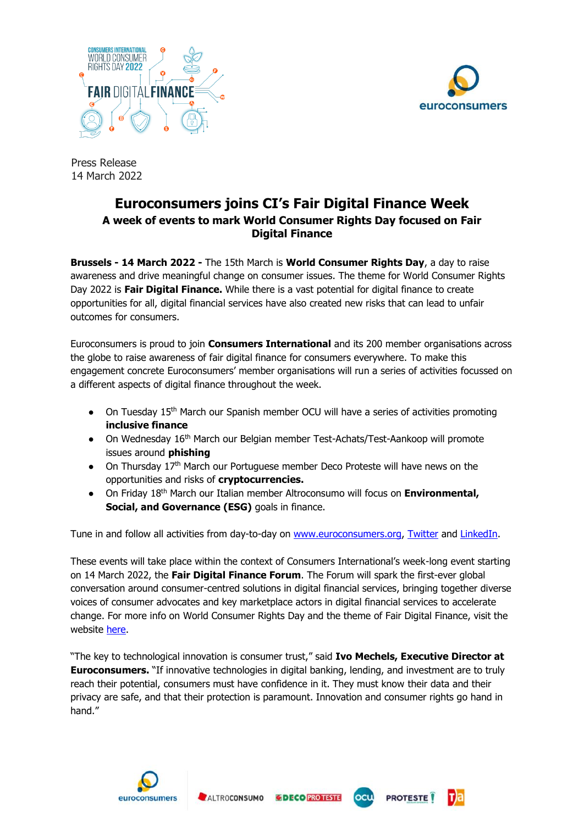



Press Release 14 March 2022

## **Euroconsumers joins CI's Fair Digital Finance Week A week of events to mark World Consumer Rights Day focused on Fair Digital Finance**

**Brussels - 14 March 2022 -** The 15th March is **World Consumer Rights Day**, a day to raise awareness and drive meaningful change on consumer issues. The theme for World Consumer Rights Day 2022 is **Fair Digital Finance.** While there is a vast potential for digital finance to create opportunities for all, digital financial services have also created new risks that can lead to unfair outcomes for consumers.

Euroconsumers is proud to join **Consumers International** and its 200 member organisations across the globe to raise awareness of fair digital finance for consumers everywhere. To make this engagement concrete Euroconsumers' member organisations will run a series of activities focussed on a different aspects of digital finance throughout the week.

- On Tuesday 15<sup>th</sup> March our Spanish member OCU will have a series of activities promoting **inclusive finance**
- On Wednesday 16<sup>th</sup> March our Belgian member Test-Achats/Test-Aankoop will promote issues around **phishing**
- On Thursday 17<sup>th</sup> March our Portuguese member Deco Proteste will have news on the opportunities and risks of **cryptocurrencies.**
- On Friday 18th March our Italian member Altroconsumo will focus on **Environmental, Social, and Governance (ESG)** goals in finance.

Tune in and follow all activities from day-to-day on [www.euroconsumers.org,](http://www.euroconsumers.org/) [Twitter](https://twitter.com/euroconsumers) and [LinkedIn.](https://www.linkedin.com/company/euroconsumers/)

These events will take place within the context of Consumers International's week-long event starting on 14 March 2022, the **Fair Digital Finance Forum**. The Forum will spark the first-ever global conversation around consumer-centred solutions in digital financial services, bringing together diverse voices of consumer advocates and key marketplace actors in digital financial services to accelerate change. For more info on World Consumer Rights Day and the theme of Fair Digital Finance, visit the website [here.](https://www.consumersinternational.org/news-resources/news/releases/fair-digital-finance-world-consumer-rights-day-2022-theme/)

"The key to technological innovation is consumer trust," said **Ivo Mechels, Executive Director at Euroconsumers.** "If innovative technologies in digital banking, lending, and investment are to truly reach their potential, consumers must have confidence in it. They must know their data and their privacy are safe, and that their protection is paramount. Innovation and consumer rights go hand in hand."